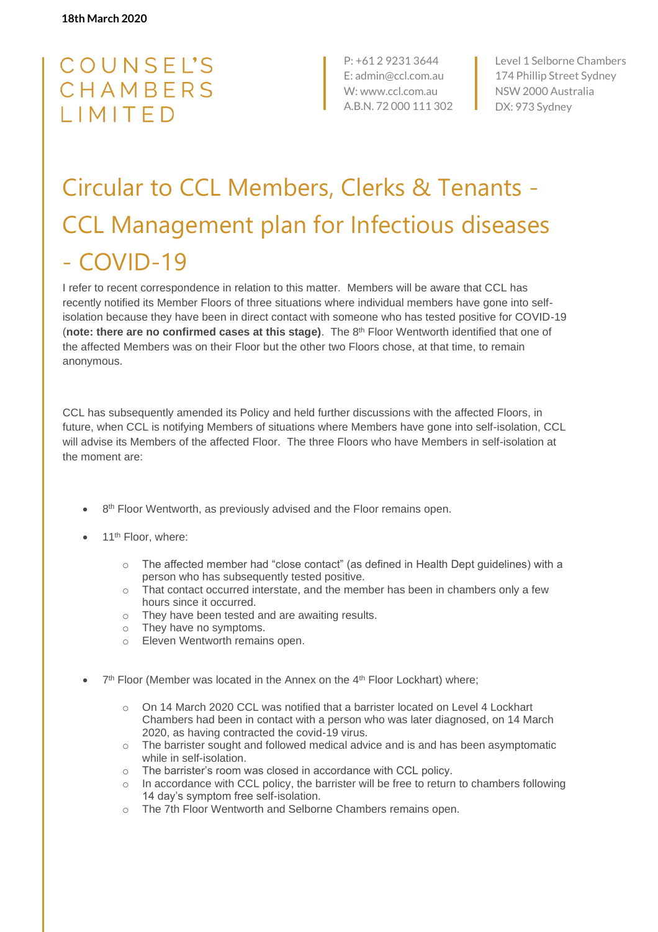## COUNSEL'S CHAMBERS LIMITED

P: +61 2 9231 3644 E: admin@ccl.com.au W: www.ccl.com.au A.B.N. 72 000 111 302 Level 1 Selborne Chambers 174 Phillip Street Sydney NSW 2000 Australia DX: 973 Sydney

## Circular to CCL Members, Clerks & Tenants - CCL Management plan for Infectious diseases - COVID-19

I refer to recent correspondence in relation to this matter. Members will be aware that CCL has recently notified its Member Floors of three situations where individual members have gone into selfisolation because they have been in direct contact with someone who has tested positive for COVID-19 (**note: there are no confirmed cases at this stage)**. The 8th Floor Wentworth identified that one of the affected Members was on their Floor but the other two Floors chose, at that time, to remain anonymous.

CCL has subsequently amended its Policy and held further discussions with the affected Floors, in future, when CCL is notifying Members of situations where Members have gone into self-isolation, CCL will advise its Members of the affected Floor. The three Floors who have Members in self-isolation at the moment are:

- 8<sup>th</sup> Floor Wentworth, as previously advised and the Floor remains open.
- 11<sup>th</sup> Floor, where:
	- $\circ$  The affected member had "close contact" (as defined in Health Dept guidelines) with a person who has subsequently tested positive.
	- o That contact occurred interstate, and the member has been in chambers only a few hours since it occurred.
	- o They have been tested and are awaiting results.
	- o They have no symptoms.
	- o Eleven Wentworth remains open.
- 7<sup>th</sup> Floor (Member was located in the Annex on the 4<sup>th</sup> Floor Lockhart) where;
	- o On 14 March 2020 CCL was notified that a barrister located on Level 4 Lockhart Chambers had been in contact with a person who was later diagnosed, on 14 March 2020, as having contracted the covid-19 virus.
	- o The barrister sought and followed medical advice and is and has been asymptomatic while in self-isolation.
	- o The barrister's room was closed in accordance with CCL policy.
	- $\circ$  In accordance with CCL policy, the barrister will be free to return to chambers following 14 day's symptom free self-isolation.
	- o The 7th Floor Wentworth and Selborne Chambers remains open.